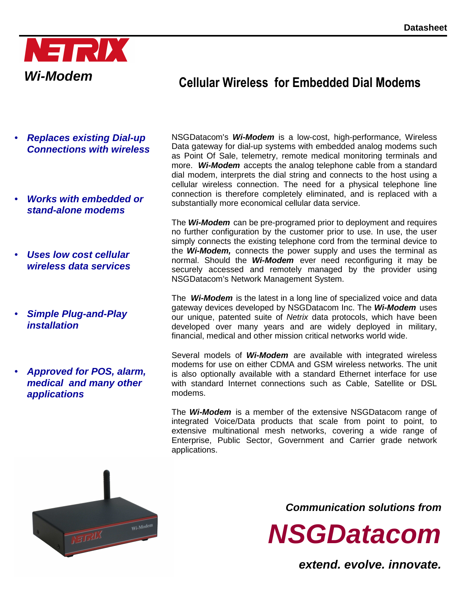

# **Cellular Wireless for Embedded Dial Modems**

- **Replaces existing Dial-up Connections with wireless**
- **Works with embedded or stand-alone modems**
- **Uses low cost cellular wireless data services**
- **Simple Plug-and-Play installation**
- **Approved for POS, alarm, medical and many other applications**

NSGDatacom's **Wi-Modem** is a low-cost, high-performance, Wireless Data gateway for dial-up systems with embedded analog modems such as Point Of Sale, telemetry, remote medical monitoring terminals and more. **Wi-Modem** accepts the analog telephone cable from a standard dial modem, interprets the dial string and connects to the host using a cellular wireless connection. The need for a physical telephone line connection is therefore completely eliminated, and is replaced with a substantially more economical cellular data service.

The **Wi-Modem** can be pre-programed prior to deployment and requires no further configuration by the customer prior to use. In use, the user simply connects the existing telephone cord from the terminal device to the **Wi-Modem,** connects the power supply and uses the terminal as normal. Should the **Wi-Modem** ever need reconfiguring it may be securely accessed and remotely managed by the provider using NSGDatacom's Network Management System.

The **Wi-Modem** is the latest in a long line of specialized voice and data gateway devices developed by NSGDatacom Inc. The **Wi-Modem** uses our unique, patented suite of Netrix data protocols, which have been developed over many years and are widely deployed in military, financial, medical and other mission critical networks world wide.

Several models of **Wi-Modem** are available with integrated wireless modems for use on either CDMA and GSM wireless networks. The unit is also optionally available with a standard Ethernet interface for use with standard Internet connections such as Cable, Satellite or DSL modems.

The **Wi-Modem** is a member of the extensive NSGDatacom range of integrated Voice/Data products that scale from point to point, to extensive multinational mesh networks, covering a wide range of Enterprise, Public Sector, Government and Carrier grade network applications.



**Communication solutions from** 

**NSGDatacom**

**extend. evolve. innovate.**